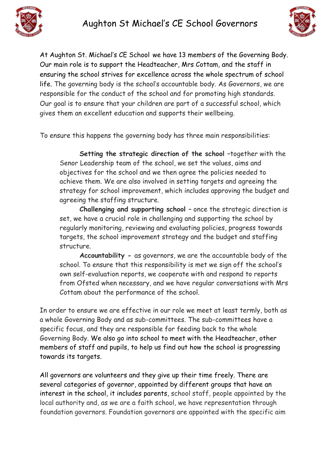



At Aughton St. Michael's CE School we have 13 members of the Governing Body. Our main role is to support the Headteacher, Mrs Cottam, and the staff in ensuring the school strives for excellence across the whole spectrum of school life. The governing body is the school's accountable body. As Governors, we are responsible for the conduct of the school and for promoting high standards. Our goal is to ensure that your children are part of a successful school, which gives them an excellent education and supports their wellbeing.

To ensure this happens the governing body has three main responsibilities:

**Setting the strategic direction of the school –**together with the Senor Leadership team of the school, we set the values, aims and objectives for the school and we then agree the policies needed to achieve them. We are also involved in setting targets and agreeing the strategy for school improvement, which includes approving the budget and agreeing the staffing structure.

**Challenging and supporting school –** once the strategic direction is set, we have a crucial role in challenging and supporting the school by regularly monitoring, reviewing and evaluating policies, progress towards targets, the school improvement strategy and the budget and staffing structure.

**Accountability -** as governors, we are the accountable body of the school. To ensure that this responsibility is met we sign off the school's own self-evaluation reports, we cooperate with and respond to reports from Ofsted when necessary, and we have regular conversations with Mrs Cottam about the performance of the school.

In order to ensure we are effective in our role we meet at least termly, both as a whole Governing Body and as sub-committees. The sub-committees have a specific focus, and they are responsible for feeding back to the whole Governing Body. We also go into school to meet with the Headteacher, other members of staff and pupils, to help us find out how the school is progressing towards its targets.

All governors are volunteers and they give up their time freely. There are several categories of governor, appointed by different groups that have an interest in the school, it includes parents, school staff, people appointed by the local authority and, as we are a faith school, we have representation through foundation governors. Foundation governors are appointed with the specific aim